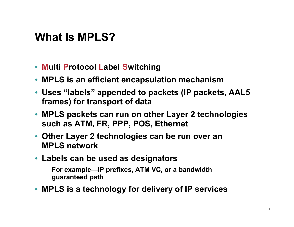## **What Is MPLS?**

- **Multi Protocol Label Switching**
- **MPLS is an efficient encapsulation mechanism**
- **Uses "labels" appended to packets (IP packets, AAL5 frames) for transport of data**
- **MPLS packets can run on other Layer 2 technologies such as ATM, FR, PPP, POS, Ethernet**
- **Other Layer 2 technologies can be run over an MPLS network**
- **Labels can be used as designators**

**For example—IP prefixes, ATM VC, or a bandwidth guaranteed path**

• **MPLS is a technology for delivery of IP services**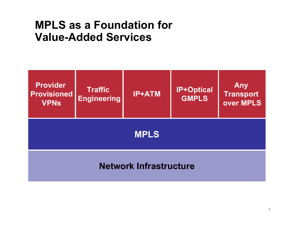#### **MPLS as a Foundation for Value-Added Services**

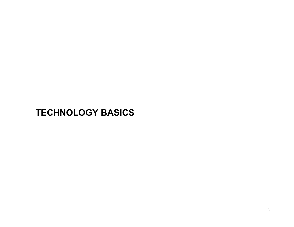#### **TECHNOLOGY BASICS**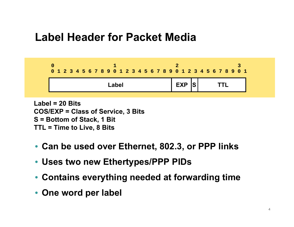### **Label Header for Packet Media**



**Label = 20 BitsCOS/EXP = Class of Service, 3 Bits S = Bottom of Stack, 1 Bit TTL = Time to Live, 8 Bits**

- **Can be used over Ethernet, 802.3, or PPP links**
- **Uses two new Ethertypes/PPP PIDs**
- **Contains everything needed at forwarding time**
- **One word per label**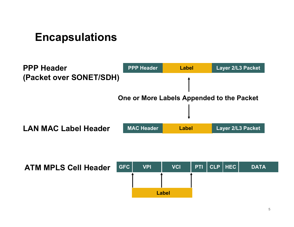### **Encapsulations**



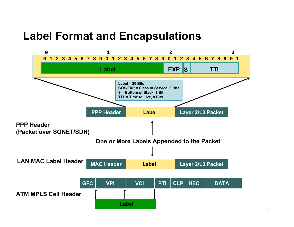#### **Label Format and Encapsulations**

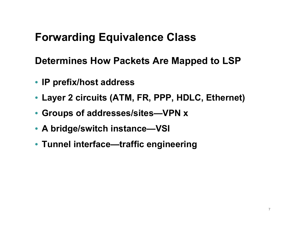## **Forwarding Equivalence Class**

**Determines How Packets Are Mapped to LSP**

- **IP prefix/host address**
- **Layer 2 circuits (ATM, FR, PPP, HDLC, Ethernet)**
- **Groups of addresses/sites—VPN x**
- **A bridge/switch instance—VSI**
- **Tunnel interface—traffic engineering**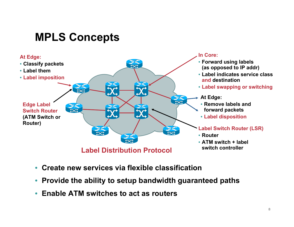## **MPLS Concepts**



- **Create new services via flexible classification**
- **Provide the ability to setup bandwidth guaranteed paths**
- **Enable ATM switches to act as routers**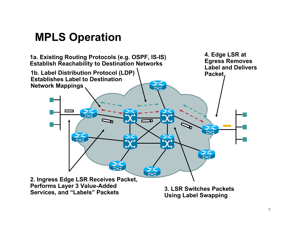### **MPLS Operation**

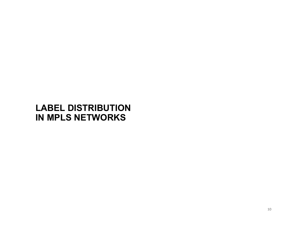#### **LABEL DISTRIBUTION IN MPLS NETWORKS**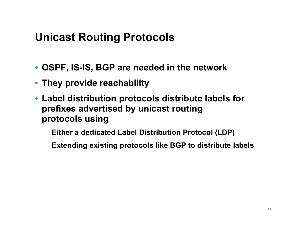## **Unicast Routing Protocols**

- **OSPF, IS-IS, BGP are needed in the network**
- **They provide reachability**
- **Label distribution protocols distribute labels for prefixes advertised by unicast routing protocols using**

**Either a dedicated Label Distribution Protocol (LDP)**

**Extending existing protocols like BGP to distribute labels**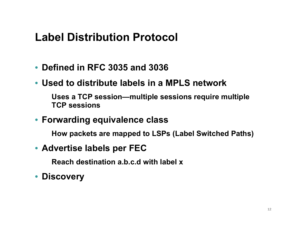### **Label Distribution Protocol**

- **Defined in RFC 3035 and 3036**
- **Used to distribute labels in a MPLS network**

**Uses a TCP session—multiple sessions require multiple TCP sessions**

• **Forwarding equivalence class**

**How packets are mapped to LSPs (Label Switched Paths)**

• **Advertise labels per FEC** 

**Reach destination a.b.c.d with label x**

• **Discovery**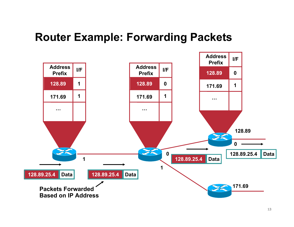### **Router Example: Forwarding Packets**

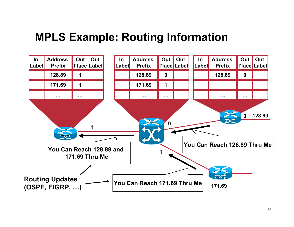### **MPLS Example: Routing Information**

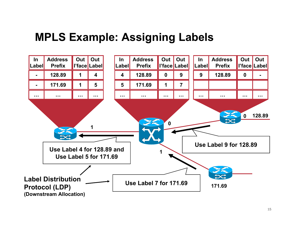### **MPLS Example: Assigning Labels**

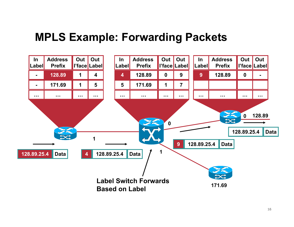#### **MPLS Example: Forwarding Packets**

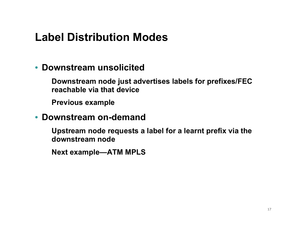## **Label Distribution Modes**

#### • **Downstream unsolicited**

**Downstream node just advertises labels for prefixes/FEC reachable via that device**

**Previous example**

#### • **Downstream on-demand**

**Upstream node requests a label for a learnt prefix via the downstream node**

**Next example—ATM MPLS**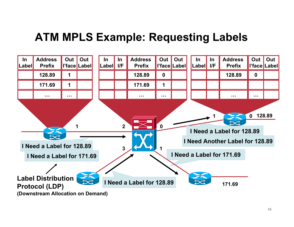## **ATM MPLS Example: Requesting Labels**

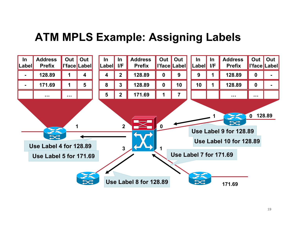## **ATM MPLS Example: Assigning Labels**

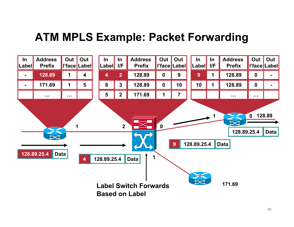## **ATM MPLS Example: Packet Forwarding**

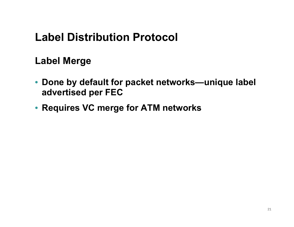## **Label Distribution Protocol**

#### **Label Merge**

- **Done by default for packet networks—unique label advertised per FEC**
- **Requires VC merge for ATM networks**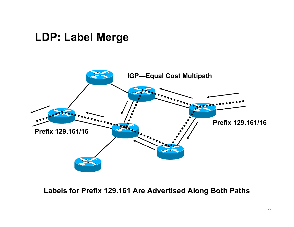#### **LDP: Label Merge**



**Labels for Prefix 129.161 Are Advertised Along Both Paths**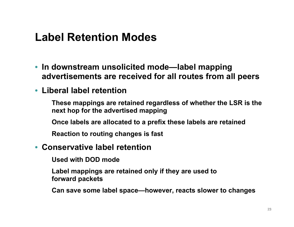## **Label Retention Modes**

- **In downstream unsolicited mode—label mapping advertisements are received for all routes from all peers**
- **Liberal label retention**

**These mappings are retained regardless of whether the LSR is the next hop for the advertised mapping**

**Once labels are allocated to a prefix these labels are retained**

**Reaction to routing changes is fast**

#### • **Conservative label retention**

**Used with DOD mode**

**Label mappings are retained only if they are used to forward packets**

**Can save some label space—however, reacts slower to changes**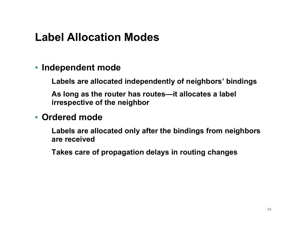## **Label Allocation Modes**

#### • **Independent mode**

**Labels are allocated independently of neighbors' bindings**

**As long as the router has routes—it allocates a label irrespective of the neighbor**

#### • **Ordered mode**

**Labels are allocated only after the bindings from neighbors are received**

**Takes care of propagation delays in routing changes**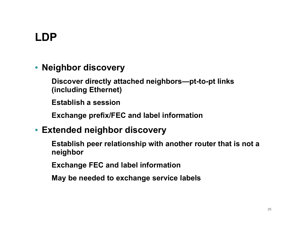# **LDP**

#### • **Neighbor discovery**

**Discover directly attached neighbors—pt-to-pt links (including Ethernet)**

**Establish a session**

**Exchange prefix/FEC and label information**

#### • **Extended neighbor discovery**

**Establish peer relationship with another router that is not a neighbor**

**Exchange FEC and label information**

**May be needed to exchange service labels**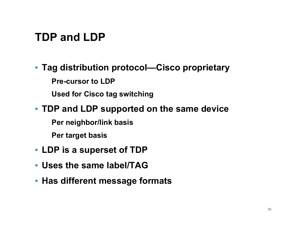# **TDP and LDP**

#### • **Tag distribution protocol—Cisco proprietary**

**Pre-cursor to LDP**

**Used for Cisco tag switching**

#### • **TDP and LDP supported on the same device**

**Per neighbor/link basis** 

**Per target basis**

- **LDP is a superset of TDP**
- **Uses the same label/TAG**
- **Has different message formats**